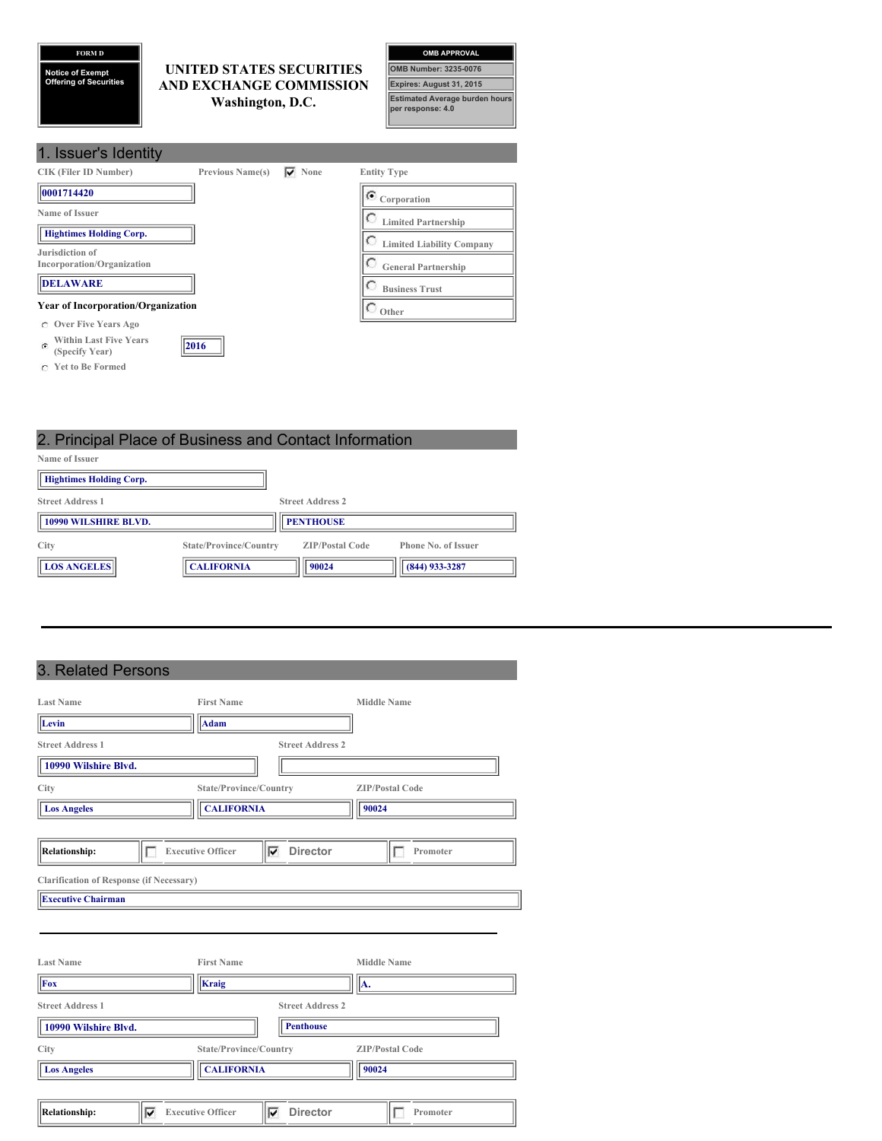**FORM D**

**Notice of Exempt Offering of Securities**

## **UNITED STATES SECURITIES AND EXCHANGE COMMISSION Washington, D.C.**

| <b>OMB APPROVAL</b>                                        |
|------------------------------------------------------------|
| <b>OMB Number: 3235-0076</b>                               |
| Expires: August 31, 2015                                   |
| <b>Estimated Average burden hours</b><br>per response: 4.0 |

| 1. Issuer's Identity                                          |                         |           |                                       |
|---------------------------------------------------------------|-------------------------|-----------|---------------------------------------|
| CIK (Filer ID Number)                                         | <b>Previous Name(s)</b> | None<br>▽ | <b>Entity Type</b>                    |
| 0001714420                                                    |                         |           | $\bullet$ Corporation                 |
| Name of Issuer                                                |                         |           | C<br><b>Limited Partnership</b>       |
| <b>Hightimes Holding Corp.</b>                                |                         |           | C<br><b>Limited Liability Company</b> |
| Jurisdiction of<br>Incorporation/Organization                 |                         |           | O<br><b>General Partnership</b>       |
| <b>DELAWARE</b>                                               |                         |           | с<br><b>Business Trust</b>            |
| <b>Year of Incorporation/Organization</b>                     |                         |           | Other                                 |
| <b>Over Five Years Ago</b><br>C.                              |                         |           |                                       |
| <b>Within Last Five Years</b><br>$\sqrt{2}$<br>(Specify Year) | 2016                    |           |                                       |

**Yet to Be Formed**

# 2. Principal Place of Business and Contact Information

| Name of Issuer                 |                        |                         |                            |
|--------------------------------|------------------------|-------------------------|----------------------------|
| <b>Hightimes Holding Corp.</b> |                        |                         |                            |
| <b>Street Address 1</b>        |                        | <b>Street Address 2</b> |                            |
| <b>10990 WILSHIRE BLVD.</b>    |                        | <b>PENTHOUSE</b>        |                            |
| City                           | State/Province/Country | <b>ZIP/Postal Code</b>  | <b>Phone No. of Issuer</b> |
| <b>LOS ANGELES</b>             | <b>CALIFORNIA</b>      | 90024                   | (844) 933-3287             |

# 3. Related Persons

| <b>Last Name</b>                                                             | <b>First Name</b>        |                         | <b>Middle Name</b>     |
|------------------------------------------------------------------------------|--------------------------|-------------------------|------------------------|
| Levin                                                                        | <b>Adam</b>              |                         |                        |
| <b>Street Address 1</b>                                                      |                          | <b>Street Address 2</b> |                        |
| 10990 Wilshire Blvd.                                                         |                          |                         |                        |
| City                                                                         | State/Province/Country   |                         | <b>ZIP/Postal Code</b> |
| <b>Los Angeles</b>                                                           | <b>CALIFORNIA</b>        |                         | 90024                  |
|                                                                              |                          |                         |                        |
| <b>Relationship:</b><br>Г                                                    | <b>Executive Officer</b> | <b>Director</b><br>⊽    | Promoter               |
| <b>Clarification of Response (if Necessary)</b><br><b>Executive Chairman</b> |                          |                         |                        |
| <b>Last Name</b>                                                             | <b>First Name</b>        |                         | <b>Middle Name</b>     |
| Fox                                                                          | Kraig                    |                         | A.                     |
| <b>Street Address 1</b>                                                      |                          | <b>Street Address 2</b> |                        |
| 10990 Wilshire Blvd.                                                         |                          | <b>Penthouse</b>        |                        |
| City                                                                         | State/Province/Country   |                         | <b>ZIP/Postal Code</b> |
| <b>Los Angeles</b>                                                           | <b>CALIFORNIA</b>        |                         | 90024                  |
|                                                                              |                          |                         |                        |
| <b>Relationship:</b><br>⊽                                                    | <b>Executive Officer</b> | <b>Director</b><br>⊽    | Promoter               |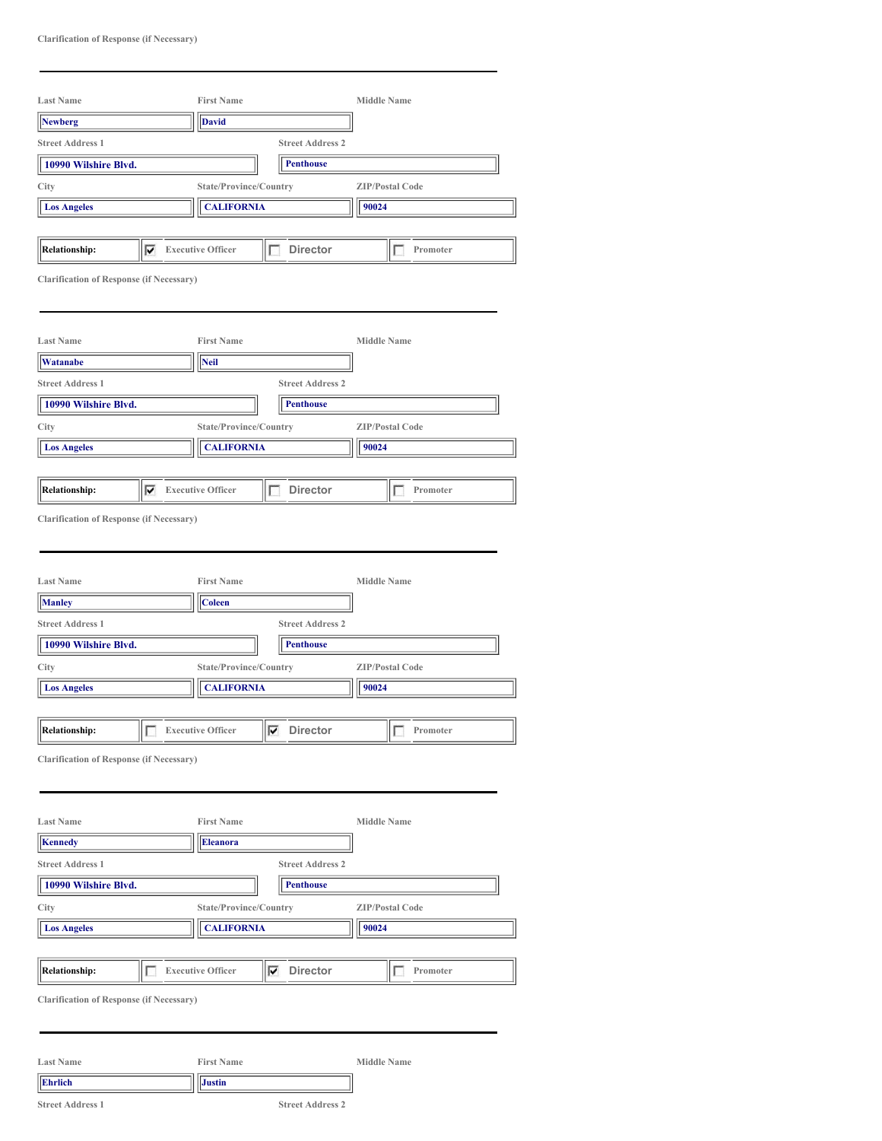| <b>Last Name</b>                                                                                                                 |   | <b>First Name</b>                  |                                             | <b>Middle Name</b>     |  |
|----------------------------------------------------------------------------------------------------------------------------------|---|------------------------------------|---------------------------------------------|------------------------|--|
| <b>Newberg</b>                                                                                                                   |   | <b>David</b>                       |                                             |                        |  |
| <b>Street Address 1</b>                                                                                                          |   |                                    | <b>Street Address 2</b>                     |                        |  |
| 10990 Wilshire Blvd.                                                                                                             |   |                                    | <b>Penthouse</b>                            |                        |  |
| City                                                                                                                             |   | State/Province/Country             |                                             | <b>ZIP/Postal Code</b> |  |
| <b>Los Angeles</b>                                                                                                               |   | <b>CALIFORNIA</b>                  |                                             | 90024                  |  |
|                                                                                                                                  |   |                                    |                                             |                        |  |
| Relationship:                                                                                                                    | ⊽ | <b>Executive Officer</b>           | г<br><b>Director</b>                        | Promoter<br>Е          |  |
| <b>Clarification of Response (if Necessary)</b>                                                                                  |   |                                    |                                             |                        |  |
| <b>Last Name</b>                                                                                                                 |   | <b>First Name</b>                  |                                             | <b>Middle Name</b>     |  |
| Watanabe                                                                                                                         |   | Neil                               |                                             |                        |  |
| <b>Street Address 1</b>                                                                                                          |   |                                    | <b>Street Address 2</b>                     |                        |  |
| 10990 Wilshire Blvd.                                                                                                             |   |                                    | <b>Penthouse</b>                            |                        |  |
| City                                                                                                                             |   | State/Province/Country             |                                             | <b>ZIP/Postal Code</b> |  |
| <b>Los Angeles</b>                                                                                                               |   | <b>CALIFORNIA</b>                  |                                             | 90024                  |  |
|                                                                                                                                  |   |                                    |                                             |                        |  |
| <b>Relationship:</b>                                                                                                             | ⊽ | <b>Executive Officer</b>           | <b>Director</b><br>п                        | Promoter<br>п          |  |
|                                                                                                                                  |   |                                    |                                             |                        |  |
| <b>Manley</b>                                                                                                                    |   | <b>First Name</b><br><b>Coleen</b> |                                             | <b>Middle Name</b>     |  |
| <b>Last Name</b><br><b>Street Address 1</b><br>10990 Wilshire Blvd.                                                              |   |                                    | <b>Street Address 2</b><br><b>Penthouse</b> |                        |  |
|                                                                                                                                  |   | State/Province/Country             |                                             | <b>ZIP/Postal Code</b> |  |
| <b>Los Angeles</b>                                                                                                               |   | <b>CALIFORNIA</b>                  |                                             | 90024                  |  |
| <b>Relationship:</b>                                                                                                             |   | <b>Executive Officer</b>           | <b>Director</b><br>⊽                        | Promoter               |  |
|                                                                                                                                  |   |                                    |                                             |                        |  |
|                                                                                                                                  |   | <b>First Name</b>                  |                                             | <b>Middle Name</b>     |  |
| <b>Kennedy</b>                                                                                                                   |   | <b>Eleanora</b>                    |                                             |                        |  |
|                                                                                                                                  |   |                                    | <b>Street Address 2</b>                     |                        |  |
| 10990 Wilshire Blvd.                                                                                                             |   |                                    | <b>Penthouse</b>                            |                        |  |
|                                                                                                                                  |   | State/Province/Country             |                                             | <b>ZIP/Postal Code</b> |  |
| <b>Los Angeles</b>                                                                                                               |   | <b>CALIFORNIA</b>                  |                                             | 90024                  |  |
|                                                                                                                                  |   |                                    |                                             |                        |  |
| City<br>$\overline{ }$<br><b>Clarification of Response (if Necessary)</b><br><b>Last Name</b><br><b>Street Address 1</b><br>City |   | <b>Executive Officer</b>           |                                             | Promoter               |  |
| <b>Relationship:</b>                                                                                                             | г |                                    | <b>Director</b><br>⊽                        | $\Box$                 |  |
| <b>Clarification of Response (if Necessary)</b><br><b>Last Name</b>                                                              |   | <b>First Name</b>                  |                                             | <b>Middle Name</b>     |  |

**Street Address 1 Street Address 2**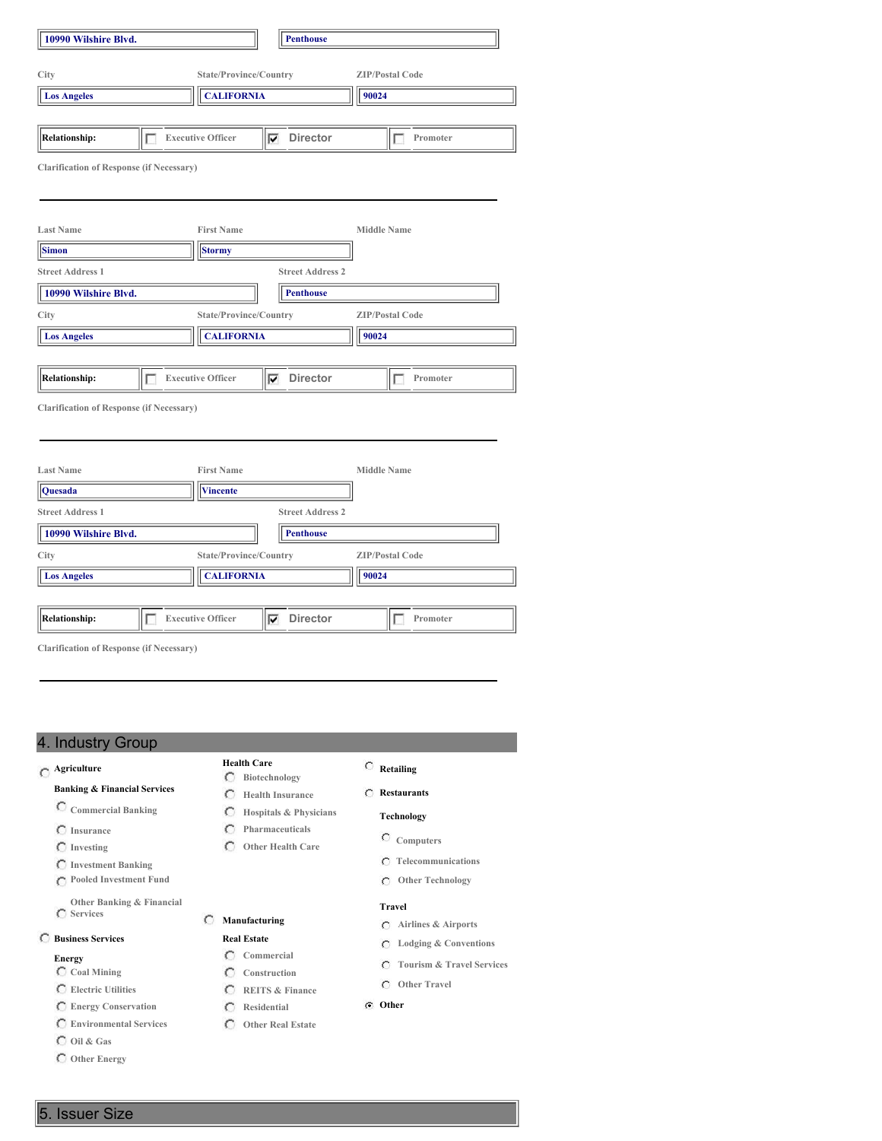| City<br><b>Los Angeles</b>                      |   | State/Province/Country   |   |                         |                    | <b>ZIP/Postal Code</b> |
|-------------------------------------------------|---|--------------------------|---|-------------------------|--------------------|------------------------|
|                                                 |   |                          |   |                         |                    |                        |
|                                                 |   | <b>CALIFORNIA</b>        |   |                         | 90024              |                        |
|                                                 |   |                          |   |                         |                    |                        |
| <b>Relationship:</b>                            | г | <b>Executive Officer</b> | ⊽ | <b>Director</b>         |                    | г<br>Promoter          |
| <b>Clarification of Response (if Necessary)</b> |   |                          |   |                         |                    |                        |
|                                                 |   |                          |   |                         |                    |                        |
| <b>Last Name</b>                                |   | <b>First Name</b>        |   |                         | <b>Middle Name</b> |                        |
| <b>Simon</b>                                    |   | <b>Stormy</b>            |   |                         |                    |                        |
| <b>Street Address 1</b>                         |   |                          |   | <b>Street Address 2</b> |                    |                        |
| 10990 Wilshire Blvd.                            |   |                          |   | <b>Penthouse</b>        |                    |                        |
| City                                            |   | State/Province/Country   |   |                         |                    | <b>ZIP/Postal Code</b> |
| <b>Los Angeles</b>                              |   | <b>CALIFORNIA</b>        |   | 90024                   |                    |                        |
|                                                 |   |                          |   |                         |                    |                        |
| <b>Relationship:</b>                            | г | <b>Executive Officer</b> | ⊽ | Director                |                    | Promoter<br>Е          |
| <b>Clarification of Response (if Necessary)</b> |   |                          |   |                         |                    |                        |
|                                                 |   |                          |   |                         |                    |                        |
| <b>Last Name</b>                                |   | <b>First Name</b>        |   |                         | <b>Middle Name</b> |                        |
| Quesada                                         |   | <b>Vincente</b>          |   |                         |                    |                        |
| <b>Street Address 1</b>                         |   |                          |   | <b>Street Address 2</b> |                    |                        |
| 10990 Wilshire Blvd.                            |   |                          |   | <b>Penthouse</b>        |                    |                        |
| City                                            |   | State/Province/Country   |   |                         |                    | <b>ZIP/Postal Code</b> |
| <b>Los Angeles</b>                              |   | <b>CALIFORNIA</b>        |   |                         | 90024              |                        |
|                                                 |   |                          |   |                         |                    |                        |
| <b>Relationship:</b>                            |   | <b>Executive Officer</b> | ⊽ | <b>Director</b>         |                    | Promoter               |

## 4. Industry Group

# **Agriculture**

### **Banking & Financial Services**

- **Commercial Banking**
- **Insurance**
- **Investing**
- **Investment Banking**
- **Pooled Investment Fund**
- **Other Banking & Financial**

### **Business Services**

### **Energy**

- **Coal Mining**
- **Electric Utilities**
- **Energy Conservation**
- **Environmental Services**
- **Oil & Gas**
- **Other Energy**

- **Health Care Biotechnology**
- **Health Insurance**
- **Hospitals & Physicians**
- $\circ$ **Pharmaceuticals**
- **Other Health Care**
- 
- 
- 
- **Services**

# **Manufacturing**

- **Real Estate Commercial**
	- **Construction**
	- **REITS & Finance**
		-
	- **Residential Other Real Estate**

## **Retailing**

**Restaurants**

### **Technology**

- **Computers**
- **Telecommunications**
- **Other Technology**

### **Travel**

- **Airlines & Airports**
- **Lodging & Conventions**
- **Tourism & Travel Services**
- **Other Travel**
- **Other**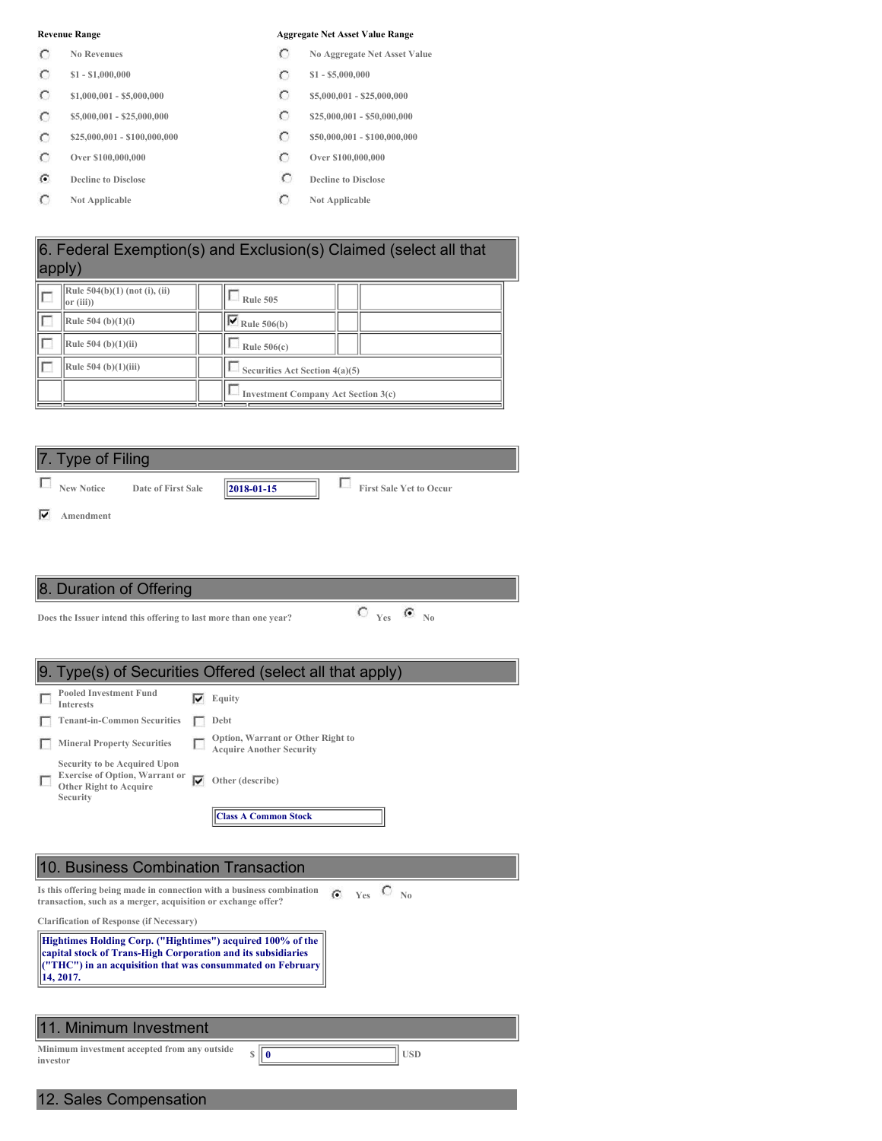- $\circ$
- $\circ$
- $\circ$
- $\circ$
- $\circ$
- $\circ$
- $\mathbf G$
- $\circ$

#### **Revenue Range Aggregate Net Asset Value Range**

- **No Revenues No Aggregate Net Asset Value**
- **\$1 - \$1,000,000 \$1 - \$5,000,000**
- **\$1,000,001 - \$5,000,000 \$5,000,000 \$5,000,001 \$25,000,000**
- **\$5,000,001 - \$25,000,000 \$25,000,001 \$25,000,000 \$25,000,000 \$25,000,000**
- **\$25,000,001 - \$100,000,000 \$50,000,001 \$100,000,000**
- **Over \$100,000,000 Over \$100,000,000**
- **Decline** to **Disclose C Decline** to **Disclose**
- **Not Applicable Not Applicable**

|   | 6. Federal Exemption(s) and Exclusion(s) Claimed (select all that<br>apply) |  |                                            |  |  |  |
|---|-----------------------------------------------------------------------------|--|--------------------------------------------|--|--|--|
| ┍ | Rule 504(b)(1) (not (i), (ii)<br> or (iii)                                  |  | <b>Rule 505</b>                            |  |  |  |
|   | Rule 504 (b) $(1)(i)$                                                       |  | $\sqrt{\mathbf{V}}$ Rule 506(b)            |  |  |  |
|   | Rule 504 (b)(1)(ii)                                                         |  | Rule $506(c)$                              |  |  |  |
|   | Rule 504 (b) $(1)(iii)$                                                     |  | Securities Act Section 4(a)(5)             |  |  |  |
|   |                                                                             |  | <b>Investment Company Act Section 3(c)</b> |  |  |  |





**Does** the Issuer intend this offering to last more than one year?<br> **C**  $Y_{\text{es}}$  **C**  $\overline{Y_{\text{es}}}$ 

|          |                                                                                                                                                                                                       |   | 9. Type(s) of Securities Offered (select all that apply)             |  |  |  |
|----------|-------------------------------------------------------------------------------------------------------------------------------------------------------------------------------------------------------|---|----------------------------------------------------------------------|--|--|--|
|          | <b>Pooled Investment Fund</b><br>Interests                                                                                                                                                            | M | Equity                                                               |  |  |  |
|          | <b>Tenant-in-Common Securities</b>                                                                                                                                                                    |   | Debt                                                                 |  |  |  |
|          | <b>Mineral Property Securities</b>                                                                                                                                                                    |   | Option, Warrant or Other Right to<br><b>Acquire Another Security</b> |  |  |  |
|          | Security to be Acquired Upon<br><b>Exercise of Option, Warrant or</b><br><b>Other Right to Acquire</b><br>Security                                                                                    | ज | Other (describe)                                                     |  |  |  |
|          |                                                                                                                                                                                                       |   | <b>Class A Common Stock</b>                                          |  |  |  |
|          |                                                                                                                                                                                                       |   |                                                                      |  |  |  |
|          |                                                                                                                                                                                                       |   |                                                                      |  |  |  |
|          | 10. Business Combination Transaction                                                                                                                                                                  |   |                                                                      |  |  |  |
|          | Is this offering being made in connection with a business combination<br>transaction, such as a merger, acquisition or exchange offer?                                                                |   | $C_{N0}$<br>G.<br><b>Ves</b>                                         |  |  |  |
|          | <b>Clarification of Response (if Necessary)</b>                                                                                                                                                       |   |                                                                      |  |  |  |
|          | Hightimes Holding Corp. ("Hightimes") acquired 100% of the<br>capital stock of Trans-High Corporation and its subsidiaries<br>("THC") in an acquisition that was consummated on February<br>14, 2017. |   |                                                                      |  |  |  |
|          |                                                                                                                                                                                                       |   |                                                                      |  |  |  |
|          | 11. Minimum Investment                                                                                                                                                                                |   |                                                                      |  |  |  |
| investor | Minimum investment accepted from any outside                                                                                                                                                          |   | S<br><b>USD</b><br>l 0                                               |  |  |  |
|          | 12. Sales Compensation                                                                                                                                                                                |   |                                                                      |  |  |  |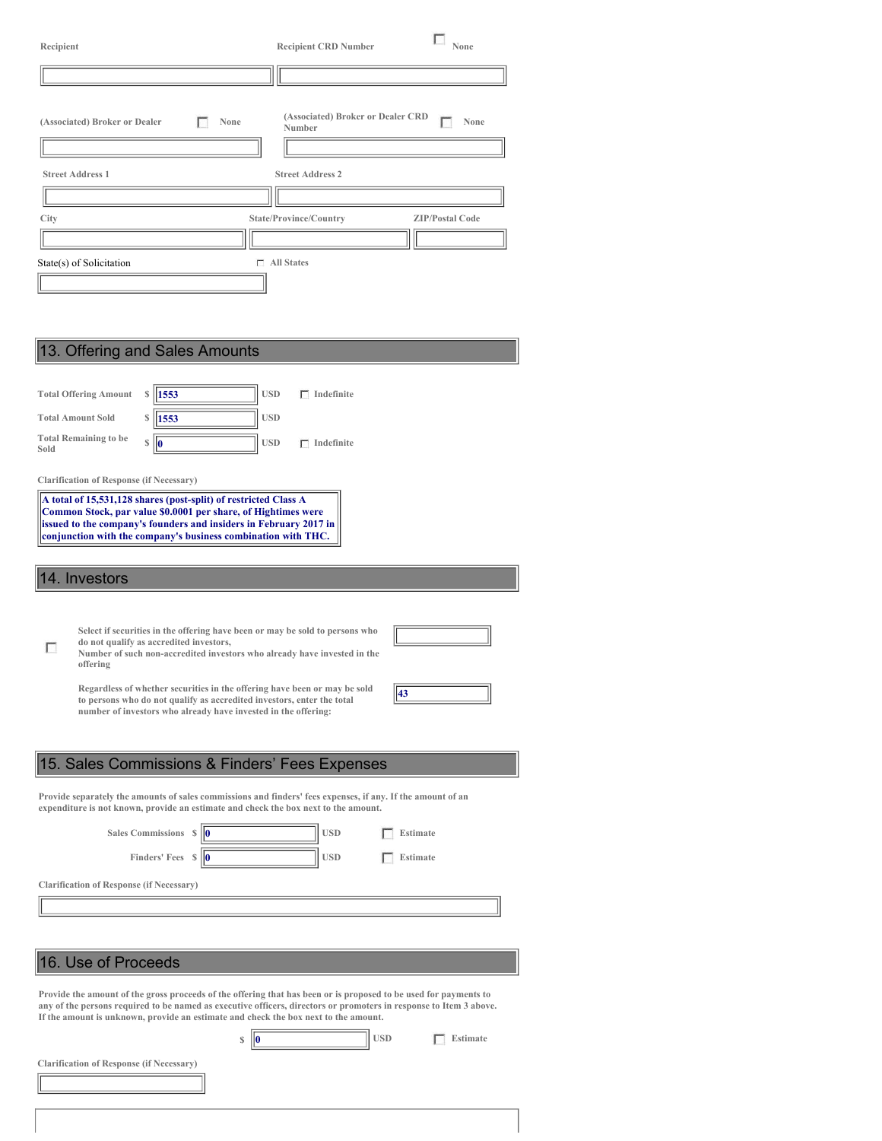| Recipient                                                             | <b>Recipient CRD Number</b>                                            | None                   |  |  |  |
|-----------------------------------------------------------------------|------------------------------------------------------------------------|------------------------|--|--|--|
|                                                                       |                                                                        |                        |  |  |  |
| (Associated) Broker or Dealer<br>None<br>г<br><b>Street Address 1</b> | (Associated) Broker or Dealer CRD<br>Number<br><b>Street Address 2</b> | None                   |  |  |  |
| <b>City</b>                                                           | State/Province/Country                                                 | <b>ZIP/Postal Code</b> |  |  |  |
|                                                                       |                                                                        |                        |  |  |  |
| State(s) of Solicitation                                              | $\Box$ All States                                                      |                        |  |  |  |
| 13. Offering and Sales Amounts                                        |                                                                        |                        |  |  |  |
| Total Offering Amount<br>$$ \parallel 1553$                           | <b>TISD</b><br>$\Gamma$ Indefinite                                     |                        |  |  |  |

| <b>Total Offering Amount</b>                    | 1553<br><b>USD</b><br>$\Box$ Indefinite                                                                                                                                                                                                                                                                                                                                                                                            |
|-------------------------------------------------|------------------------------------------------------------------------------------------------------------------------------------------------------------------------------------------------------------------------------------------------------------------------------------------------------------------------------------------------------------------------------------------------------------------------------------|
| <b>Total Amount Sold</b>                        | <b>USD</b><br>1553                                                                                                                                                                                                                                                                                                                                                                                                                 |
| <b>Total Remaining to be</b><br>Sold            | <b>USD</b><br>S<br>$\Box$ Indefinite<br>lO                                                                                                                                                                                                                                                                                                                                                                                         |
| <b>Clarification of Response (if Necessary)</b> |                                                                                                                                                                                                                                                                                                                                                                                                                                    |
|                                                 | A total of 15,531,128 shares (post-split) of restricted Class A<br>Common Stock, par value \$0.0001 per share, of Hightimes were<br>issued to the company's founders and insiders in February 2017 in<br>conjunction with the company's business combination with THC.                                                                                                                                                             |
| 14. Investors                                   |                                                                                                                                                                                                                                                                                                                                                                                                                                    |
| offering                                        | Select if securities in the offering have been or may be sold to persons who<br>do not qualify as accredited investors,<br>Number of such non-accredited investors who already have invested in the<br>Regardless of whether securities in the offering have been or may be sold<br>43<br>to persons who do not qualify as accredited investors, enter the total<br>number of investors who already have invested in the offering: |
|                                                 | 15. Sales Commissions & Finders' Fees Expenses                                                                                                                                                                                                                                                                                                                                                                                     |
|                                                 | Provide separately the amounts of sales commissions and finders' fees expenses, if any. If the amount of an<br>expenditure is not known, provide an estimate and check the box next to the amount.                                                                                                                                                                                                                                 |
|                                                 | Sales Commissions \$<br><b>USD</b><br><b>Estimate</b>                                                                                                                                                                                                                                                                                                                                                                              |
|                                                 | Finders' Fees $\sqrt{\frac{6}{10}}$<br><b>USD</b><br><b>Estimate</b>                                                                                                                                                                                                                                                                                                                                                               |
| <b>Clarification of Response (if Necessary)</b> |                                                                                                                                                                                                                                                                                                                                                                                                                                    |
|                                                 |                                                                                                                                                                                                                                                                                                                                                                                                                                    |

# 16. Use of Proceeds

Provide the amount of the gross proceeds of the offering that has been or is proposed to be used for payments to<br>any of the persons required to be named as executive officers, directors or promoters in response to Item 3 a

| S | <b>USD</b> | Estimate |
|---|------------|----------|
|   |            |          |

**Clarification of Response (if Necessary)**